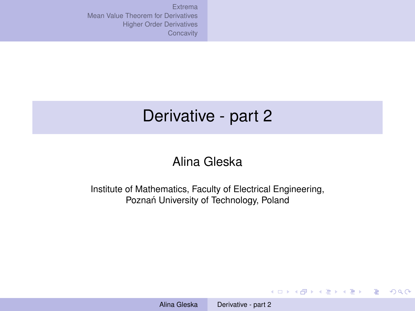<span id="page-0-0"></span>[Extrema](#page-1-0) [Mean Value Theorem for Derivatives](#page-7-0) [Higher Order Derivatives](#page-10-0) [Concavity](#page-11-0)

# Derivative - part 2

### Alina Gleska

Institute of Mathematics, Faculty of Electrical Engineering, Poznań University of Technology, Poland

**KORK START A BRAND A DISPLACEM**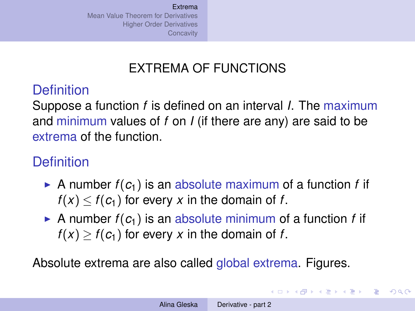# EXTREMA OF FUNCTIONS

# <span id="page-1-0"></span>**Definition**

Suppose a function *f* is defined on an interval *I*. The maximum and minimum values of *f* on *I* (if there are any) are said to be extrema of the function.

# **Definition**

- A number  $f(c_1)$  is an absolute maximum of a function *f* if  $f(x) < f(c_1)$  for every x in the domain of f.
- A number  $f(c_1)$  is an absolute minimum of a function *f* if  $f(x) > f(c_1)$  for every x in the domain of f.

Absolute extrema are also called global extrema. Figures.

イロト イ押 トイヨ トイヨ トー

重

 $\Omega$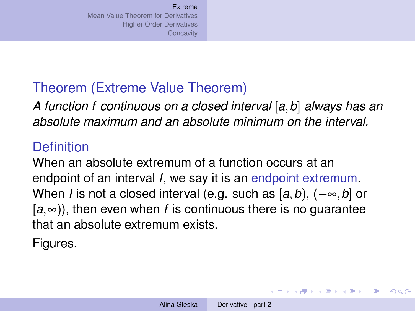# Theorem (Extreme Value Theorem)

*A function f continuous on a closed interval* [*a*,*b*] *always has an absolute maximum and an absolute minimum on the interval.*

### **Definition**

When an absolute extremum of a function occurs at an endpoint of an interval *I*, we say it is an endpoint extremum. When *I* is not a closed interval (e.g. such as [*a*,*b*), (−∞,*b*] or  $[a, \infty)$ ), then even when *f* is continuous there is no quarantee that an absolute extremum exists.

Figures.

**K ロ ▶ K 何 ▶ K ヨ ▶ K ヨ ▶** 

D.  $QQQ$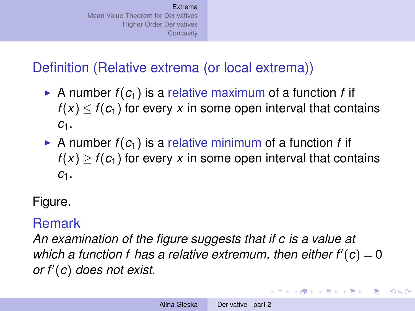# Definition (Relative extrema (or local extrema))

- $\triangleright$  A number  $f(c_1)$  is a relative maximum of a function f if  $f(x) < f(c_1)$  for every x in some open interval that contains *c*1.
- A number  $f(c_1)$  is a relative minimum of a function *f* if  $f(x) \ge f(c_1)$  for every *x* in some open interval that contains *c*1.

Figure.

### Remark

*An examination of the figure suggests that if c is a value at* which a function f has a relative extremum, then either  $f'(c) = 0$  $or f'(c)$  *does not exist.* 

イロン イ押ン イヨン イヨン 一重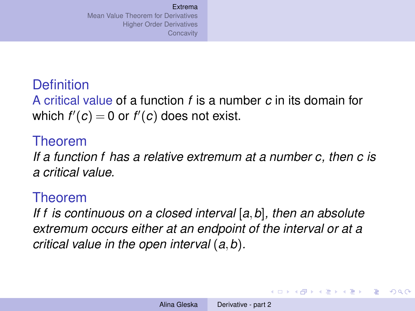# **Definition**

A critical value of a function *f* is a number *c* in its domain for which  $f'(c) = 0$  or  $f'(c)$  does not exist.

#### Theorem

*If a function f has a relative extremum at a number c, then c is a critical value.*

#### Theorem

*If f is continuous on a closed interval* [*a*,*b*]*, then an absolute extremum occurs either at an endpoint of the interval or at a critical value in the open interval* (*a*,*b*)*.*

KO KARA KE KA EK GA GA KA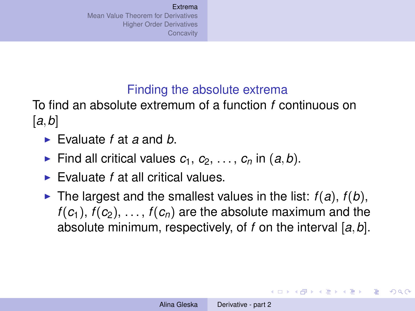### Finding the absolute extrema

To find an absolute extremum of a function *f* continuous on [*a*,*b*]

- ► Evaluate *f* at *a* and *b*.
- Find all critical values  $c_1, c_2, \ldots, c_n$  in  $(a, b)$ .
- ► Evaluate *f* at all critical values.
- If The largest and the smallest values in the list:  $f(a)$ ,  $f(b)$ ,  $f(c_1)$ ,  $f(c_2)$ , ...,  $f(c_n)$  are the absolute maximum and the absolute minimum, respectively, of *f* on the interval [*a*,*b*].

K ロ K K 個 K K 重 K K 重 K … 重 …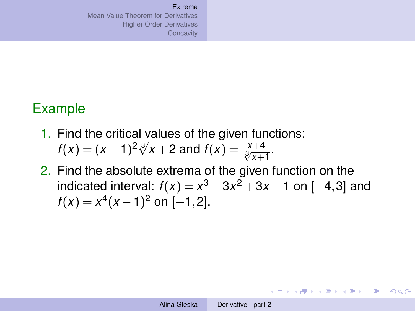### Example

- 1. Find the critical values of the given functions: *f*(*x*) =  $(x - 1)^2 \sqrt[3]{x + 2}$  and  $f(x) = \frac{x + 4}{\sqrt[3]{x + 1}}$ .
- 2. Find the absolute extrema of the given function on the indicated interval:  $f(x) = x^3 - 3x^2 + 3x - 1$  on [−4,3] and  $f(x) = x^4(x-1)^2$  on [-1,2].

イロン イ押ン イヨン イヨン 一重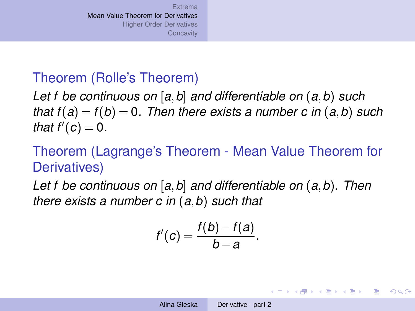### <span id="page-7-0"></span>Theorem (Rolle's Theorem)

*Let f be continuous on* [*a*,*b*] *and differentiable on* (*a*,*b*) *such that*  $f(a) = f(b) = 0$ . Then there exists a number c in  $(a, b)$  such *that*  $f'(c) = 0$ *.* 

# Theorem (Lagrange's Theorem - Mean Value Theorem for Derivatives)

*Let f be continuous on* [*a*,*b*] *and differentiable on* (*a*,*b*)*. Then there exists a number c in* (*a*,*b*) *such that*

$$
f'(c)=\frac{f(b)-f(a)}{b-a}.
$$

イロン イ押ン イヨン イヨン 一重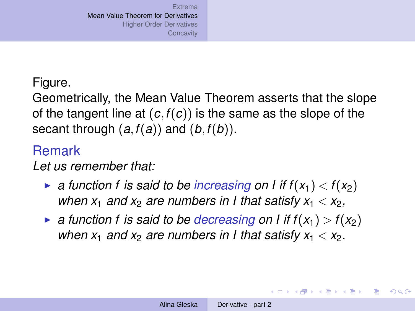#### Figure.

Geometrically, the Mean Value Theorem asserts that the slope of the tangent line at (*c*,*f*(*c*)) is the same as the slope of the secant through (*a*,*f*(*a*)) and (*b*,*f*(*b*)).

#### Remark

*Let us remember that:*

- $\triangleright$  *a function f is said to be increasing on I if*  $f(x_1) < f(x_2)$ *when*  $x_1$  *and*  $x_2$  *are numbers in I that satisfy*  $x_1 < x_2$ ,
- $\triangleright$  *a function f is said to be decreasing on I if*  $f(x_1) > f(x_2)$ *when*  $x_1$  *and*  $x_2$  *are numbers in I that satisfy*  $x_1 < x_2$ *.*

イロン イ押ン イヨン イヨン 一重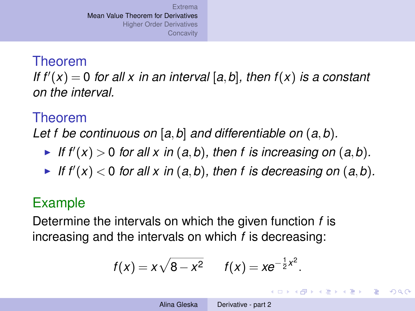#### Theorem

*If*  $f'(x) = 0$  *for all x in an interval* [a, b], then  $f(x)$  *is a constant on the interval.*

### Theorem

*Let f be continuous on* [*a*,*b*] *and differentiable on* (*a*,*b*)*.*

- If  $f'(x) > 0$  for all x in  $(a, b)$ , then f is increasing on  $(a, b)$ .
- If  $f'(x) < 0$  for all x in  $(a, b)$ , then f is decreasing on  $(a, b)$ .

### Example

Determine the intervals on which the given function *f* is increasing and the intervals on which *f* is decreasing:

$$
f(x) = x\sqrt{8-x^2}
$$
  $f(x) = xe^{-\frac{1}{2}x^2}$ .

イロン イ押ン イヨン イヨン 一重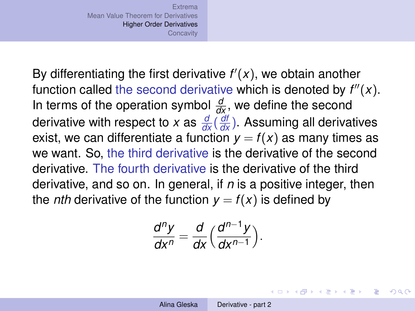<span id="page-10-0"></span>By differentiating the first derivative  $f'(x)$ , we obtain another function called the second derivative which is denoted by  $f''(x)$ . In terms of the operation symbol  $\frac{d}{dx}$ , we define the second derivative with respect to *x* as  $\frac{d}{dx}(\frac{d\theta}{dx})$ . Assuming all derivatives exist, we can differentiate a function  $y = f(x)$  as many times as we want. So, the third derivative is the derivative of the second derivative. The fourth derivative is the derivative of the third derivative, and so on. In general, if *n* is a positive integer, then the *nth* derivative of the function  $y = f(x)$  is defined by

$$
\frac{d^n y}{dx^n} = \frac{d}{dx} \Big( \frac{d^{n-1} y}{dx^{n-1}} \Big).
$$

**K ロ ▶ K 何 ▶ K ヨ ▶ K ヨ ▶** 

重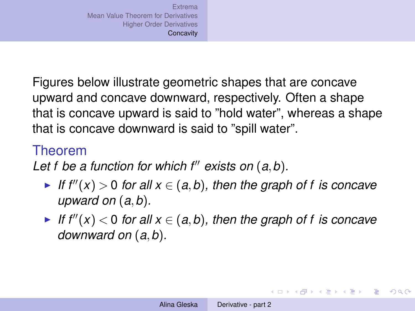<span id="page-11-0"></span>Figures below illustrate geometric shapes that are concave upward and concave downward, respectively. Often a shape that is concave upward is said to "hold water", whereas a shape that is concave downward is said to "spill water".

### Theorem

*Let f be a function for which f<sup>"</sup> exists on*  $(a, b)$ *.* 

- ► If  $f''(x) > 0$  for all  $x \in (a, b)$ , then the graph of f is concave *upward on* (*a*,*b*)*.*
- ► If  $f''(x) < 0$  for all  $x \in (a, b)$ , then the graph of f is concave *downward on* (*a*,*b*)*.*

K ロ K K 個 K K 重 K K 重 K … 重 …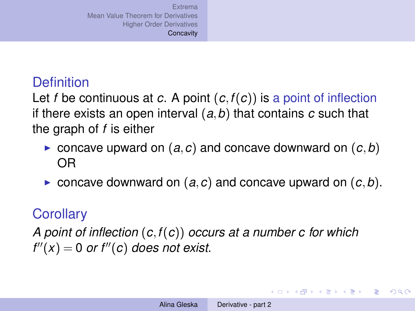# **Definition**

Let *f* be continuous at *c*. A point (*c*,*f*(*c*)) is a point of inflection if there exists an open interval (*a*,*b*) that contains *c* such that the graph of *f* is either

- $\triangleright$  concave upward on  $(a, c)$  and concave downward on  $(c, b)$ OR
- $\triangleright$  concave downward on  $(a, c)$  and concave upward on  $(c, b)$ .

# **Corollary**

*A point of inflection* (*c*,*f*(*c*)) *occurs at a number c for which*  $f''(x) = 0$  *or f*<sup>''</sup>(*c*) *does not exist.* 

イロト イ押 トイヨ トイヨ トーヨー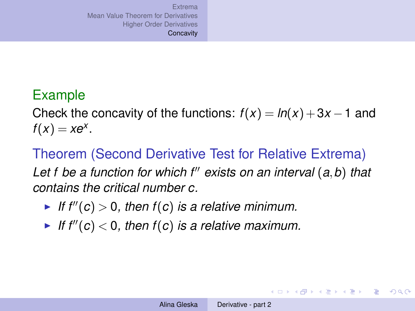# Example

Check the concavity of the functions:  $f(x) = ln(x) + 3x - 1$  and  $f(x) = xe^{x}$ .

Theorem (Second Derivative Test for Relative Extrema) *Let f be a function for which f*<sup>00</sup> *exists on an interval* (*a*,*b*) *that contains the critical number c.*

- If  $f''(c) > 0$ , then  $f(c)$  is a relative minimum.
- If  $f''(c) < 0$ , then  $f(c)$  is a relative maximum.

KOD KAP KED KED E YA G